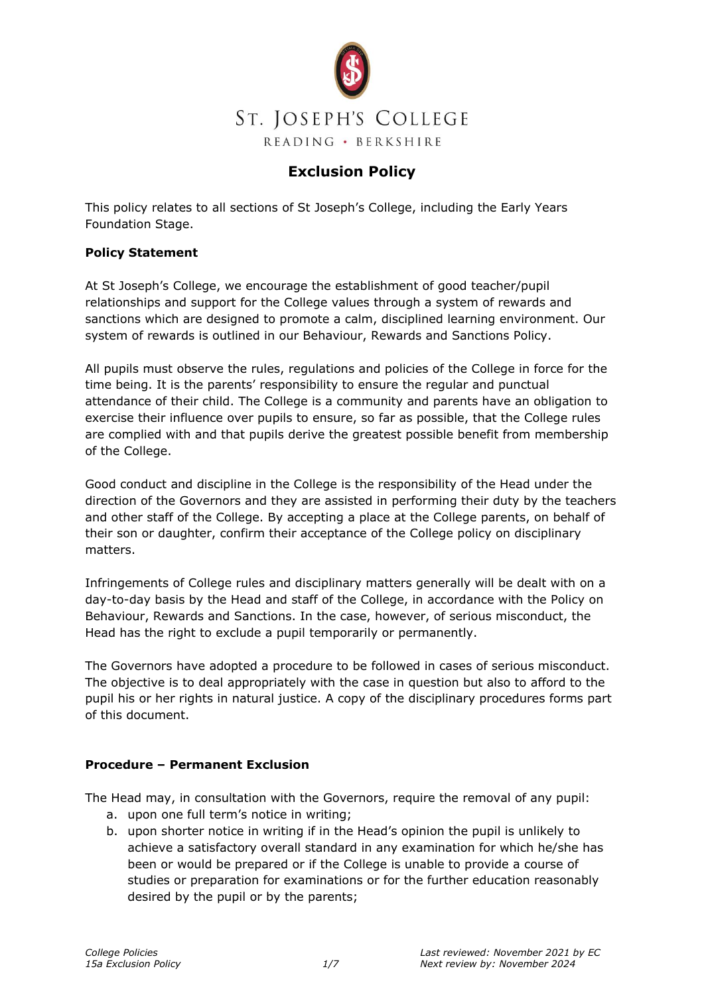

### **Exclusion Policy**

This policy relates to all sections of St Joseph's College, including the Early Years Foundation Stage.

#### **Policy Statement**

At St Joseph's College, we encourage the establishment of good teacher/pupil relationships and support for the College values through a system of rewards and sanctions which are designed to promote a calm, disciplined learning environment. Our system of rewards is outlined in our Behaviour, Rewards and Sanctions Policy.

All pupils must observe the rules, regulations and policies of the College in force for the time being. It is the parents' responsibility to ensure the regular and punctual attendance of their child. The College is a community and parents have an obligation to exercise their influence over pupils to ensure, so far as possible, that the College rules are complied with and that pupils derive the greatest possible benefit from membership of the College.

Good conduct and discipline in the College is the responsibility of the Head under the direction of the Governors and they are assisted in performing their duty by the teachers and other staff of the College. By accepting a place at the College parents, on behalf of their son or daughter, confirm their acceptance of the College policy on disciplinary matters.

Infringements of College rules and disciplinary matters generally will be dealt with on a day-to-day basis by the Head and staff of the College, in accordance with the Policy on Behaviour, Rewards and Sanctions. In the case, however, of serious misconduct, the Head has the right to exclude a pupil temporarily or permanently.

The Governors have adopted a procedure to be followed in cases of serious misconduct. The objective is to deal appropriately with the case in question but also to afford to the pupil his or her rights in natural justice. A copy of the disciplinary procedures forms part of this document.

#### **Procedure – Permanent Exclusion**

The Head may, in consultation with the Governors, require the removal of any pupil:

- a. upon one full term's notice in writing;
- b. upon shorter notice in writing if in the Head's opinion the pupil is unlikely to achieve a satisfactory overall standard in any examination for which he/she has been or would be prepared or if the College is unable to provide a course of studies or preparation for examinations or for the further education reasonably desired by the pupil or by the parents;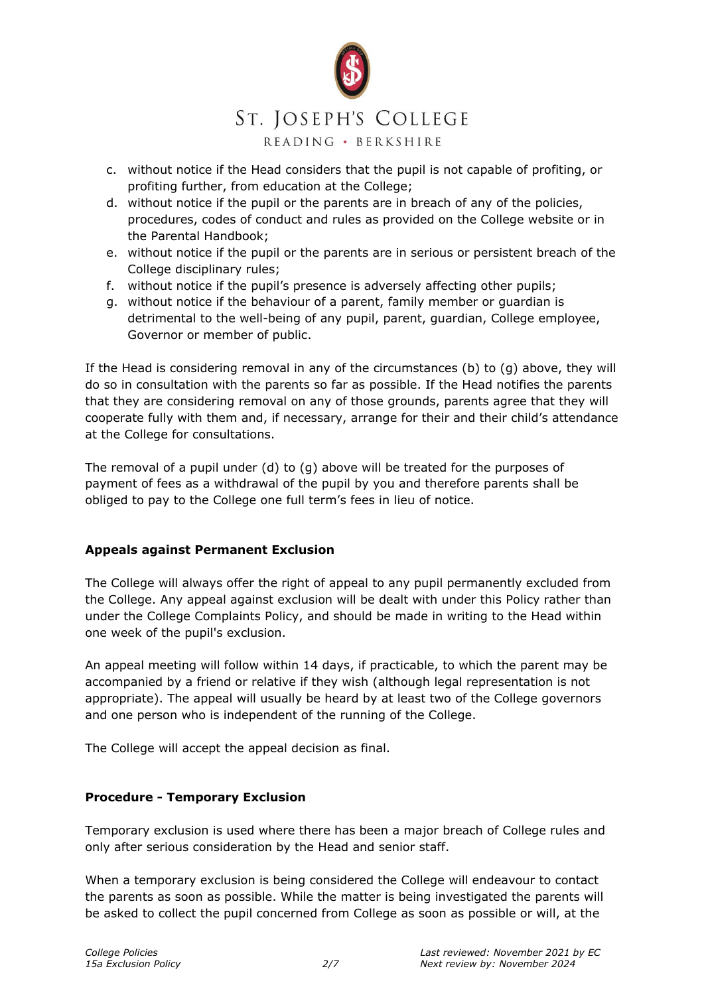

## ST. JOSEPH'S COLLEGE

READING · BERKSHIRE

- c. without notice if the Head considers that the pupil is not capable of profiting, or profiting further, from education at the College;
- d. without notice if the pupil or the parents are in breach of any of the policies, procedures, codes of conduct and rules as provided on the College website or in the Parental Handbook;
- e. without notice if the pupil or the parents are in serious or persistent breach of the College disciplinary rules;
- f. without notice if the pupil's presence is adversely affecting other pupils;
- g. without notice if the behaviour of a parent, family member or guardian is detrimental to the well-being of any pupil, parent, guardian, College employee, Governor or member of public.

If the Head is considering removal in any of the circumstances (b) to (g) above, they will do so in consultation with the parents so far as possible. If the Head notifies the parents that they are considering removal on any of those grounds, parents agree that they will cooperate fully with them and, if necessary, arrange for their and their child's attendance at the College for consultations.

The removal of a pupil under (d) to (g) above will be treated for the purposes of payment of fees as a withdrawal of the pupil by you and therefore parents shall be obliged to pay to the College one full term's fees in lieu of notice.

#### **Appeals against Permanent Exclusion**

The College will always offer the right of appeal to any pupil permanently excluded from the College. Any appeal against exclusion will be dealt with under this Policy rather than under the College Complaints Policy, and should be made in writing to the Head within one week of the pupil's exclusion.

An appeal meeting will follow within 14 days, if practicable, to which the parent may be accompanied by a friend or relative if they wish (although legal representation is not appropriate). The appeal will usually be heard by at least two of the College governors and one person who is independent of the running of the College.

The College will accept the appeal decision as final.

#### **Procedure - Temporary Exclusion**

Temporary exclusion is used where there has been a major breach of College rules and only after serious consideration by the Head and senior staff.

When a temporary exclusion is being considered the College will endeavour to contact the parents as soon as possible. While the matter is being investigated the parents will be asked to collect the pupil concerned from College as soon as possible or will, at the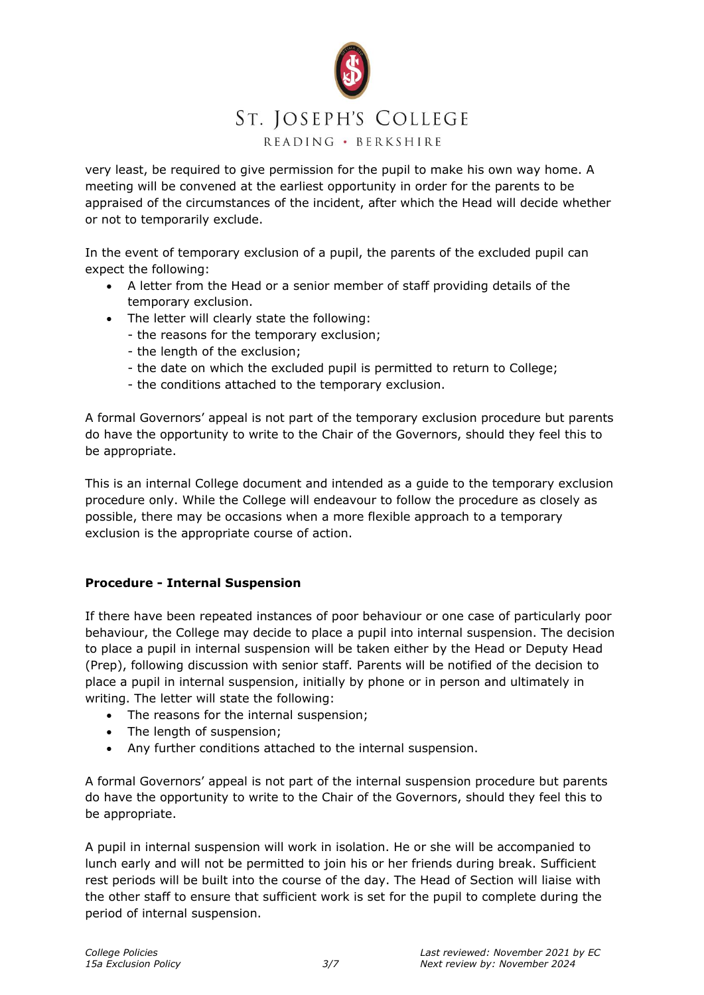

very least, be required to give permission for the pupil to make his own way home. A meeting will be convened at the earliest opportunity in order for the parents to be appraised of the circumstances of the incident, after which the Head will decide whether or not to temporarily exclude.

In the event of temporary exclusion of a pupil, the parents of the excluded pupil can expect the following:

- A letter from the Head or a senior member of staff providing details of the temporary exclusion.
- The letter will clearly state the following:
	- the reasons for the temporary exclusion;
	- the length of the exclusion;
	- the date on which the excluded pupil is permitted to return to College;
	- the conditions attached to the temporary exclusion.

A formal Governors' appeal is not part of the temporary exclusion procedure but parents do have the opportunity to write to the Chair of the Governors, should they feel this to be appropriate.

This is an internal College document and intended as a guide to the temporary exclusion procedure only. While the College will endeavour to follow the procedure as closely as possible, there may be occasions when a more flexible approach to a temporary exclusion is the appropriate course of action.

#### **Procedure - Internal Suspension**

If there have been repeated instances of poor behaviour or one case of particularly poor behaviour, the College may decide to place a pupil into internal suspension. The decision to place a pupil in internal suspension will be taken either by the Head or Deputy Head (Prep), following discussion with senior staff. Parents will be notified of the decision to place a pupil in internal suspension, initially by phone or in person and ultimately in writing. The letter will state the following:

- The reasons for the internal suspension;
- The length of suspension:
- Any further conditions attached to the internal suspension.

A formal Governors' appeal is not part of the internal suspension procedure but parents do have the opportunity to write to the Chair of the Governors, should they feel this to be appropriate.

A pupil in internal suspension will work in isolation. He or she will be accompanied to lunch early and will not be permitted to join his or her friends during break. Sufficient rest periods will be built into the course of the day. The Head of Section will liaise with the other staff to ensure that sufficient work is set for the pupil to complete during the period of internal suspension.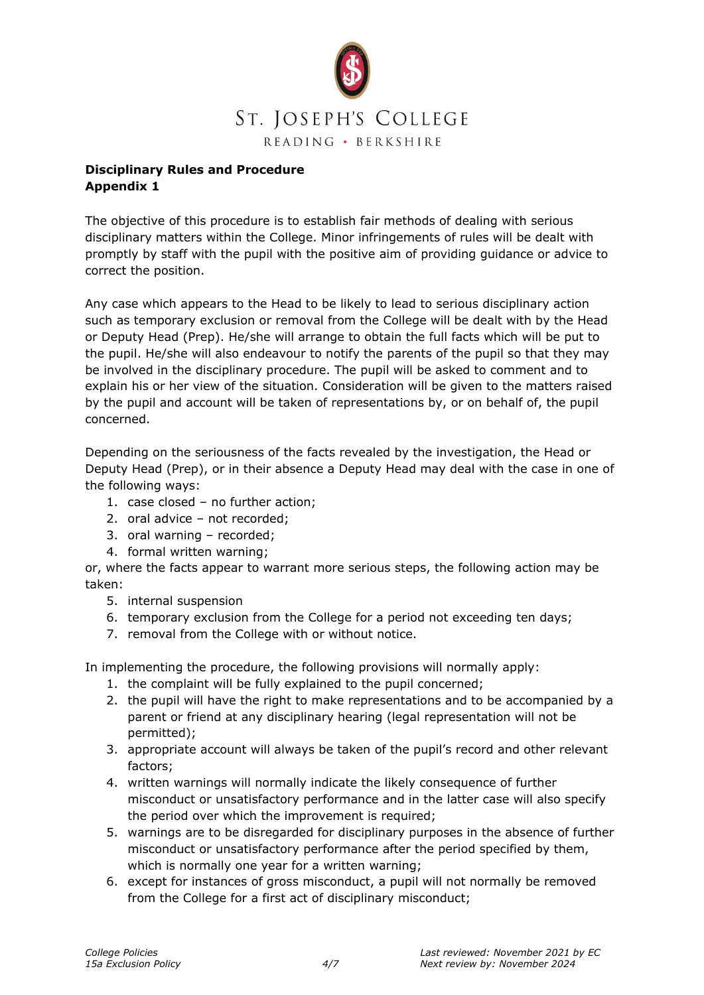

#### **Disciplinary Rules and Procedure Appendix 1**

The objective of this procedure is to establish fair methods of dealing with serious disciplinary matters within the College. Minor infringements of rules will be dealt with promptly by staff with the pupil with the positive aim of providing guidance or advice to correct the position.

Any case which appears to the Head to be likely to lead to serious disciplinary action such as temporary exclusion or removal from the College will be dealt with by the Head or Deputy Head (Prep). He/she will arrange to obtain the full facts which will be put to the pupil. He/she will also endeavour to notify the parents of the pupil so that they may be involved in the disciplinary procedure. The pupil will be asked to comment and to explain his or her view of the situation. Consideration will be given to the matters raised by the pupil and account will be taken of representations by, or on behalf of, the pupil concerned.

Depending on the seriousness of the facts revealed by the investigation, the Head or Deputy Head (Prep), or in their absence a Deputy Head may deal with the case in one of the following ways:

- 1. case closed no further action;
- 2. oral advice not recorded;
- 3. oral warning recorded;
- 4. formal written warning;

or, where the facts appear to warrant more serious steps, the following action may be taken:

- 5. internal suspension
- 6. temporary exclusion from the College for a period not exceeding ten days;
- 7. removal from the College with or without notice.

In implementing the procedure, the following provisions will normally apply:

- 1. the complaint will be fully explained to the pupil concerned;
- 2. the pupil will have the right to make representations and to be accompanied by a parent or friend at any disciplinary hearing (legal representation will not be permitted);
- 3. appropriate account will always be taken of the pupil's record and other relevant factors;
- 4. written warnings will normally indicate the likely consequence of further misconduct or unsatisfactory performance and in the latter case will also specify the period over which the improvement is required;
- 5. warnings are to be disregarded for disciplinary purposes in the absence of further misconduct or unsatisfactory performance after the period specified by them, which is normally one year for a written warning;
- 6. except for instances of gross misconduct, a pupil will not normally be removed from the College for a first act of disciplinary misconduct;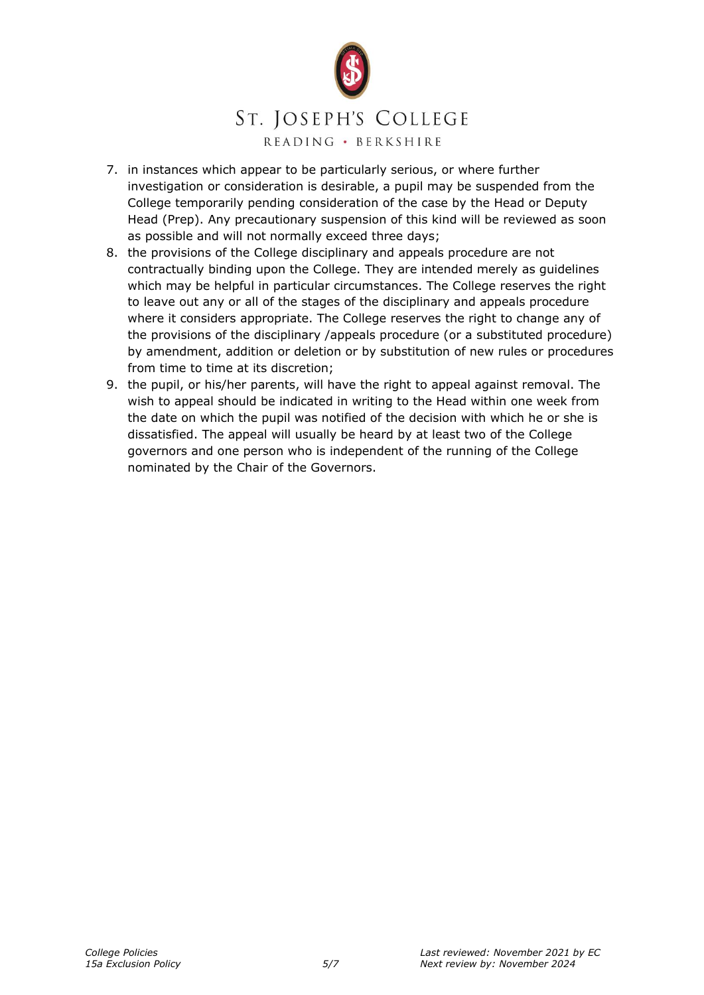

# ST. JOSEPH'S COLLEGE

READING · BERKSHIRE

- 7. in instances which appear to be particularly serious, or where further investigation or consideration is desirable, a pupil may be suspended from the College temporarily pending consideration of the case by the Head or Deputy Head (Prep). Any precautionary suspension of this kind will be reviewed as soon as possible and will not normally exceed three days;
- 8. the provisions of the College disciplinary and appeals procedure are not contractually binding upon the College. They are intended merely as guidelines which may be helpful in particular circumstances. The College reserves the right to leave out any or all of the stages of the disciplinary and appeals procedure where it considers appropriate. The College reserves the right to change any of the provisions of the disciplinary /appeals procedure (or a substituted procedure) by amendment, addition or deletion or by substitution of new rules or procedures from time to time at its discretion;
- 9. the pupil, or his/her parents, will have the right to appeal against removal. The wish to appeal should be indicated in writing to the Head within one week from the date on which the pupil was notified of the decision with which he or she is dissatisfied. The appeal will usually be heard by at least two of the College governors and one person who is independent of the running of the College nominated by the Chair of the Governors.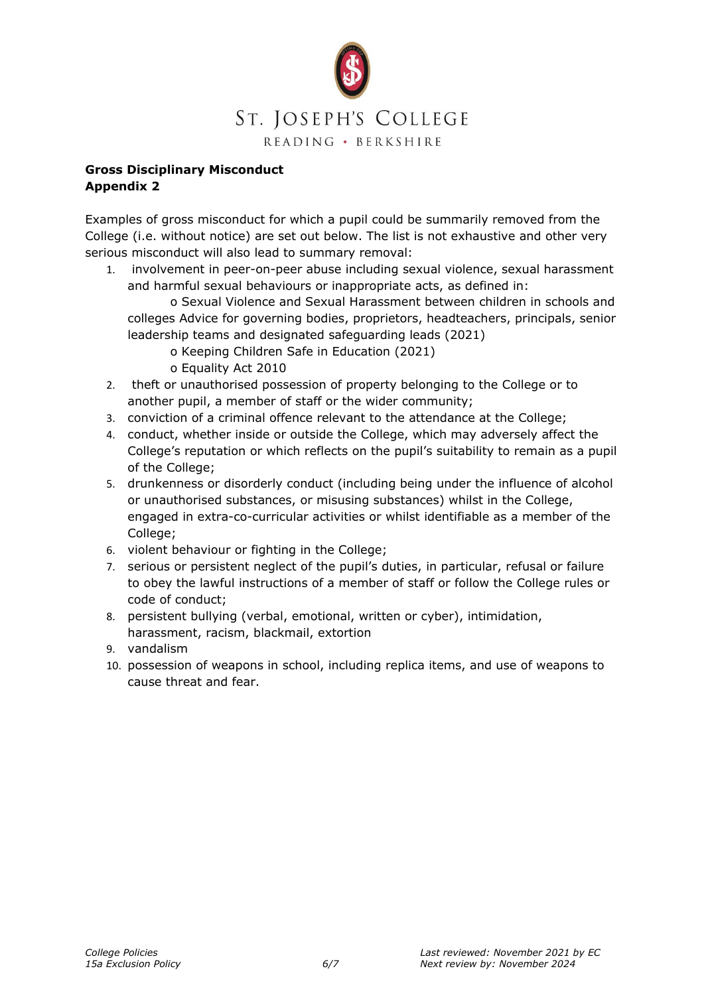

#### **Gross Disciplinary Misconduct Appendix 2**

Examples of gross misconduct for which a pupil could be summarily removed from the College (i.e. without notice) are set out below. The list is not exhaustive and other very serious misconduct will also lead to summary removal:

1. involvement in peer-on-peer abuse including sexual violence, sexual harassment and harmful sexual behaviours or inappropriate acts, as defined in:

o Sexual Violence and Sexual Harassment between children in schools and colleges Advice for governing bodies, proprietors, headteachers, principals, senior leadership teams and designated safeguarding leads (2021)

- o Keeping Children Safe in Education (2021)
- o Equality Act 2010
- 2. theft or unauthorised possession of property belonging to the College or to another pupil, a member of staff or the wider community;
- 3. conviction of a criminal offence relevant to the attendance at the College;
- 4. conduct, whether inside or outside the College, which may adversely affect the College's reputation or which reflects on the pupil's suitability to remain as a pupil of the College;
- 5. drunkenness or disorderly conduct (including being under the influence of alcohol or unauthorised substances, or misusing substances) whilst in the College, engaged in extra-co-curricular activities or whilst identifiable as a member of the College;
- 6. violent behaviour or fighting in the College;
- 7. serious or persistent neglect of the pupil's duties, in particular, refusal or failure to obey the lawful instructions of a member of staff or follow the College rules or code of conduct;
- 8. persistent bullying (verbal, emotional, written or cyber), intimidation, harassment, racism, blackmail, extortion
- 9. vandalism
- 10. possession of weapons in school, including replica items, and use of weapons to cause threat and fear.